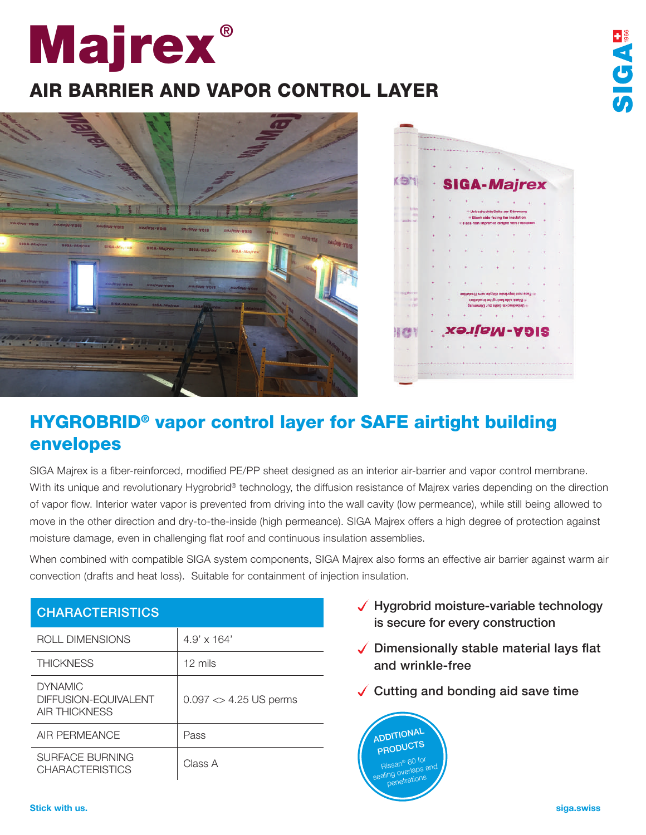## **Majrex**®

## AIR BARRIER AND VAPOR CONTROL LAYER





**HEADIC** 

## HYGROBRID® vapor control layer for SAFE airtight building envelopes

SIGA Majrex is a fiber-reinforced, modified PE/PP sheet designed as an interior air-barrier and vapor control membrane. With its unique and revolutionary Hygrobrid® technology, the diffusion resistance of Majrex varies depending on the direction of vapor flow. Interior water vapor is prevented from driving into the wall cavity (low permeance), while still being allowed to move in the other direction and dry-to-the-inside (high permeance). SIGA Majrex offers a high degree of protection against moisture damage, even in challenging flat roof and continuous insulation assemblies.

When combined with compatible SIGA system components, SIGA Majrex also forms an effective air barrier against warm air convection (drafts and heat loss). Suitable for containment of injection insulation.

| UNANAU I ENIJI IUJ                                             |                           |
|----------------------------------------------------------------|---------------------------|
| ROLL DIMENSIONS                                                | $4.9' \times 164'$        |
| <b>THICKNESS</b>                                               | $12 \text{ miles}$        |
| <b>DYNAMIC</b><br>DIFFUSION-EQUIVALENT<br><b>AIR THICKNESS</b> | $0.097 < > 4.25$ US perms |
| AIR PERMEANCE                                                  | Pass                      |
| SURFACE BURNING<br><b>CHARACTERISTICS</b>                      | Class A                   |

 $CFTD12T12$ 

- $\sqrt{\phantom{a}}$  Hygrobrid moisture-variable technology is secure for every construction
- $\sqrt{\phantom{a}}$  Dimensionally stable material lays flat and wrinkle-free
- $\sqrt{\frac{1}{1}}$  Cutting and bonding aid save time

**ADDITIONAL** PRODUCTS Rissan® 60 for Rissan C-<br>sealing overlaps and<br>sealing overlaps n<sup>o</sup>netrations